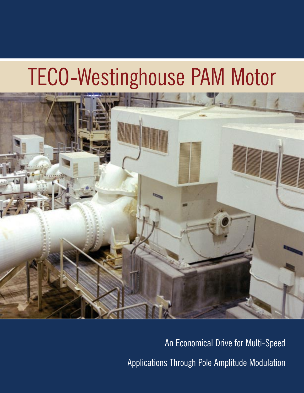# TECO-Westinghouse PAM Motor



An Economical Drive for Multi-Speed Applications Through Pole Amplitude Modulation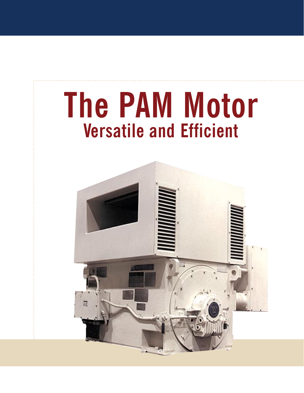# **The PAM Motor Versatile and Efficient**

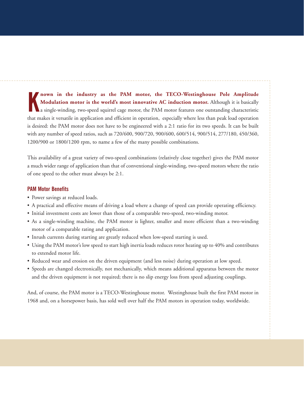**K nown in the industry as the PAM motor, the TECO-Westinghouse Pole Amplitude Modulation motor is the world's most innovative AC induction motor.** Although it is basically a single-winding, two-speed squirrel cage motor, the PAM motor features one outstanding characteristic that makes it versatile in application and efficient in operation, especially where less than peak load operation is desired: the PAM motor does not have to be engineered with a 2:1 ratio for its two speeds. It can be built with any number of speed ratios, such as 720/600, 900/720, 900/600, 600/514, 900/514, 277/180, 450/360, 1200/900 or 1800/1200 rpm, to name a few of the many possible combinations.

This availability of a great variety of two-speed combinations (relatively close together) gives the PAM motor a much wider range of application than that of conventional single-winding, two-speed motors where the ratio of one speed to the other must always be 2:1.

# **PAM Motor Benefits**

- Power savings at reduced loads.
- A practical and effective means of driving a load where a change of speed can provide operating efficiency.
- Initial investment costs are lower than those of a comparable two-speed, two-winding motor.
- As a single-winding machine, the PAM motor is lighter, smaller and more efficient than a two-winding motor of a comparable rating and application.
- Inrush currents during starting are greatly reduced when low-speed starting is used.
- Using the PAM motor's low speed to start high inertia loads reduces rotor heating up to 40% and contributes to extended motor life.
- Reduced wear and erosion on the driven equipment (and less noise) during operation at low speed.
- Speeds are changed electronically, not mechanically, which means additional apparatus between the motor and the driven equipment is not required; there is no slip energy loss from speed adjusting couplings.

And, of course, the PAM motor is a TECO-Westinghouse motor. Westinghouse built the first PAM motor in 1968 and, on a horsepower basis, has sold well over half the PAM motors in operation today, worldwide.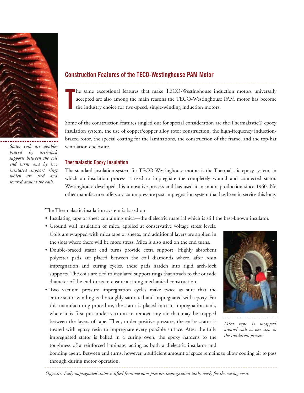

*Stator coils are doublebraced by arch-lock supports between the coil end turns and by two insulated support rings which are tied and secured around the coils.*

# **Construction Features of the TECO-Westinghouse PAM Motor**

**T** he same exceptional features that make TECO-Westinghouse induction motors universally accepted are also among the main reasons the TECO-Westinghouse PAM motor has become the industry choice for two-speed, single-winding induction motors.

Some of the construction features singled out for special consideration are the Thermalastic® epoxy insulation system, the use of copper/copper alloy rotor construction, the high-frequency inductionbrazed rotor, the special coating for the laminations, the construction of the frame, and the top-hat ventilation enclosure.

# **Thermalastic Epoxy Insulation**

The standard insulation system for TECO-Westinghouse motors is the Thermalastic epoxy system, in which an insulation process is used to impregnate the completely wound and connected stator. Westinghouse developed this innovative process and has used it in motor production since 1960. No other manufacturer offers a vacuum pressure post-impregnation system that has been in service this long.

The Thermalastic insulation system is based on:

- Insulating tape or sheet containing mica—the dielectric material which is still the best-known insulator.
- Ground wall insulation of mica, applied at conservative voltage stress levels. Coils are wrapped with mica tape or sheets, and additional layers are applied in the slots where there will be more stress. Mica is also used on the end turns.
- Double-braced stator end turns provide extra support. Highly absorbent polyester pads are placed between the coil diamonds where, after resin impregnation and curing cycles, these pads harden into rigid arch-lock supports. The coils are tied to insulated support rings that attach to the outside diameter of the end turns to ensure a strong mechanical construction.
- Two vacuum pressure impregnation cycles make twice as sure that the entire stator winding is thoroughly saturated and impregnated with epoxy. For this manufacturing procedure, the stator is placed into an impregnation tank, where it is first put under vacuum to remove any air that may be trapped between the layers of tape. Then, under positive pressure, the entire stator is treated with epoxy resin to impregnate every possible surface. After the fully impregnated stator is baked in a curing oven, the epoxy hardens to the toughness of a reinforced laminate, acting as both a dielectric insulator and



*Mica tape is wrapped around coils as one step in the insulation process.*

bonding agent. Between end turns, however, a sufficient amount of space remains to allow cooling air to pass through during motor operation.

*Opposite: Fully impregnated stator is lifted from vacuum pressure impregnation tank, ready for the curing oven.*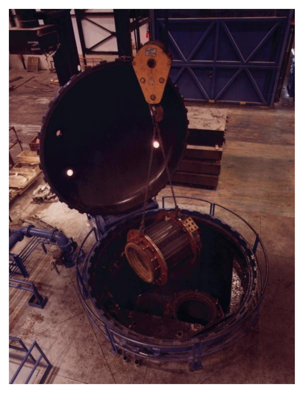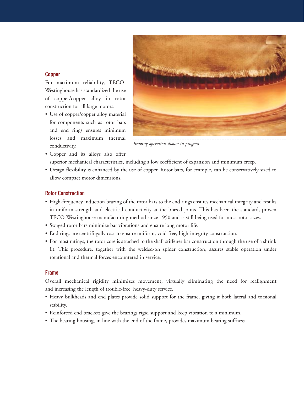

- *Brazing operation shown in progress.*
- Copper and its alloys also offer
- superior mechanical characteristics, including a low coefficient of expansion and minimum creep.
- Design flexibility is enhanced by the use of copper. Rotor bars, for example, can be conservatively sized to allow compact motor dimensions.

# **Rotor Construction**

conductivity.

**Copper**

- High-frequency induction brazing of the rotor bars to the end rings ensures mechanical integrity and results in uniform strength and electrical conductivity at the brazed joints. This has been the standard, proven TECO-Westinghouse manufacturing method since 1950 and is still being used for most rotor sizes.
- Swaged rotor bars minimize bar vibrations and ensure long motor life.
- End rings are centrifugally cast to ensure uniform, void-free, high-integrity construction.
- For most ratings, the rotor core is attached to the shaft stiffener bar construction through the use of a shrink fit. This procedure, together with the welded-on spider construction, assures stable operation under rotational and thermal forces encountered in service.

# **Frame**

Overall mechanical rigidity minimizes movement, virtually eliminating the need for realignment and increasing the length of trouble-free, heavy-duty service.

- Heavy bulkheads and end plates provide solid support for the frame, giving it both lateral and torsional stability.
- Reinforced end brackets give the bearings rigid support and keep vibration to a minimum.
- The bearing housing, in line with the end of the frame, provides maximum bearing stiffness.

For maximum reliability, TECO-Westinghouse has standardized the use of copper/copper alloy in rotor

• Use of copper/copper alloy material for components such as rotor bars and end rings ensures minimum losses and maximum thermal

construction for all large motors.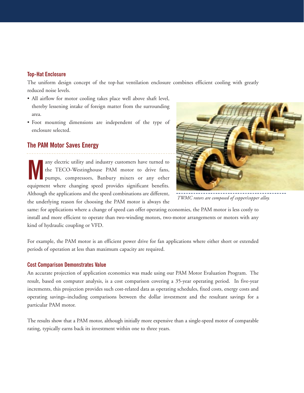# **Top-Hat Enclosure**

The uniform design concept of the top-hat ventilation enclosure combines efficient cooling with greatly reduced noise levels.

- All airflow for motor cooling takes place well above shaft level, thereby lessening intake of foreign matter from the surrounding area.
- Foot mounting dimensions are independent of the type of enclosure selected.

# **The PAM Motor Saves Energy**

any electric utility and industry customers have turned to the TECO-Westinghouse PAM motor to drive fans, pumps, compressors, Banbury mixers or any other the TECO-Westinghouse PAM motor to drive fans, pumps, compressors, Banbury mixers or any other equipment where changing speed provides significant benefits. Although the applications and the speed combinations are different, the underlying reason for choosing the PAM motor is always the



*TWMC rotors are composed of copper/copper alloy.*

same: for applications where a change of speed can offer operating economies, the PAM motor is less costly to install and more efficient to operate than two-winding motors, two-motor arrangements or motors with any kind of hydraulic coupling or VFD.

For example, the PAM motor is an efficient power drive for fan applications where either short or extended periods of operation at less than maximum capacity are required.

### **Cost Comparison Demonstrates Value**

An accurate projection of application economics was made using our PAM Motor Evaluation Program. The result, based on computer analysis, is a cost comparison covering a 35-year operating period. In five-year increments, this projection provides such cost-related data as operating schedules, fixed costs, energy costs and operating savings–including comparisons between the dollar investment and the resultant savings for a particular PAM motor.

The results show that a PAM motor, although initially more expensive than a single-speed motor of comparable rating, typically earns back its investment within one to three years.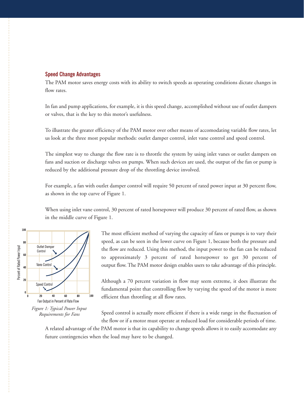## **Speed Change Advantages**

The PAM motor saves energy costs with its ability to switch speeds as operating conditions dictate changes in flow rates.

In fan and pump applications, for example, it is this speed change, accomplished without use of outlet dampers or valves, that is the key to this motor's usefulness.

To illustrate the greater efficiency of the PAM motor over other means of accomodating variable flow rates, let us look at the three most popular methods: outlet damper control, inlet vane control and speed control.

The simplest way to change the flow rate is to throttle the system by using inlet vanes or outlet dampers on fans and suction or discharge valves on pumps. When such devices are used, the output of the fan or pump is reduced by the additional pressure drop of the throttling device involved.

For example, a fan with outlet damper control will require 50 percent of rated power input at 30 percent flow, as shown in the top curve of Figure 1.

When using inlet vane control, 30 percent of rated horsepower will produce 30 percent of rated flow, as shown in the middle curve of Figure 1.



*Figure 1: Typical Power Input Requirements for Fans*

The most efficient method of varying the capacity of fans or pumps is to vary their speed, as can be seen in the lower curve on Figure 1, because both the pressure and the flow are reduced. Using this method, the input power to the fan can be reduced to approximately 3 percent of rated horsepower to get 30 percent of output flow. The PAM motor design enables users to take advantage of this principle.

Although a 70 percent variation in flow may seem extreme, it does illustrate the fundamental point that controlling flow by varying the speed of the motor is more efficient than throttling at all flow rates.

Speed control is actually more efficient if there is a wide range in the fluctuation of the flow or if a motor must operate at reduced load for considerable periods of time.

A related advantage of the PAM motor is that its capability to change speeds allows it to easily accomodate any future contingencies when the load may have to be changed.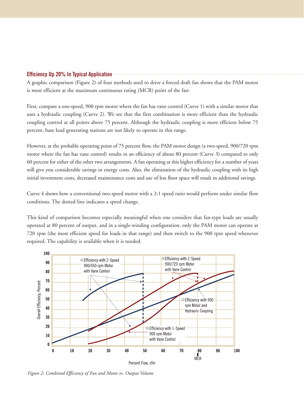#### **Efficiency Up 20% In Typical Application**

A graphic comparison (Figure 2) of four methods used to drive a forced draft fan shows that the PAM motor is most efficient at the maximum continuous rating (MCR) point of the fan:

First, compare a one-speed, 900 rpm motor where the fan has vane control (Curve 1) with a similar motor that uses a hydraulic coupling (Curve 2). We see that the first combination is more efficient than the hydraulic coupling control at all points above 75 percent. Although the hydraulic coupling is more efficient below 75 percent, base load generating stations are not likely to operate in this range.

However, at the probable operating point of 75 percent flow, the PAM motor design (a two-speed, 900/720 rpm motor where the fan has vane control) results in an efficiency of about 80 percent (Curve 3) compared to only 60 percent for either of the other two arrangements. A fan operating at this higher efficiency for a number of years will give you considerable savings in energy costs. Also, the elimination of the hydraulic coupling with its high initial investment costs, decreased maintenance costs and use of less floor space will result in additional savings.

Curve 4 shows how a conventional two-speed motor with a 2:1 speed ratio would perform under similar flow conditions. The dotted line indicates a speed change.

This kind of comparison becomes especially meaningful when one considers that fan-type loads are usually operated at 80 percent of output, and in a single-winding configuration, only the PAM motor can operate at 720 rpm (the most efficient speed for loads in that range) and then switch to the 900 rpm speed whenever required. The capability is available when it is needed.



*Figure 2: Combined Efficiency of Fan and Motor vs. Output Volume*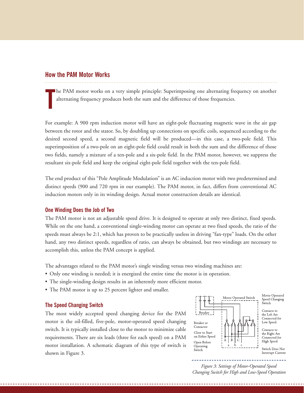# **How the PAM Motor Works**

**T** he PAM motor works on a very simple principle: Superimposing one alternating frequency on another alternating frequency produces both the sum and the difference of those frequencies.

For example: A 900 rpm induction motor will have an eight-pole fluctuating magnetic wave in the air gap between the rotor and the stator. So, by doubling up connections on specific coils, sequenced according to the desired second speed, a second magnetic field will be produced—in this case, a two-pole field. This superimposition of a two-pole on an eight-pole field could result in both the sum and the difference of those two fields, namely a mixture of a ten-pole and a six-pole field. In the PAM motor, however, we suppress the resultant six-pole field and keep the original eight-pole field together with the ten-pole field.

The end product of this "Pole Amplitude Modulation" is an AC induction motor with two predetermined and distinct speeds (900 and 720 rpm in our example). The PAM motor, in fact, differs from conventional AC induction motors only in its winding design. Actual motor construction details are identical.

# **One Winding Does the Job of Two**

The PAM motor is not an adjustable speed drive. It is designed to operate at only two distinct, fixed speeds. While on the one hand, a conventional single-winding motor can operate at two fixed speeds, the ratio of the speeds must always be 2:1, which has proven to be practically useless in driving "fan-type" loads. On the other hand, any two distinct speeds, regardless of ratio, can always be obtained, but two windings are necessary to accomplish this, unless the PAM concept is applied.

The advantages related to the PAM motor's single winding versus two winding machines are:

- Only one winding is needed; it is energized the entire time the motor is in operation.
- The single-winding design results in an inherently more efficient motor.
- The PAM motor is up to 25 percent lighter and smaller.

## **The Speed Changing Switch**

The most widely accepted speed changing device for the PAM motor is the oil-filled, five-pole, motor-operated speed changing switch. It is typically installed close to the motor to minimize cable requirements. There are six leads (three for each speed) on a PAM motor installation. A schematic diagram of this type of switch is shown in Figure 3.



Motor Operated Speed Changing

**Interrupt Current** 

*Figure 3: Settings of Motor-Operated Speed Changing Switch for High and Low-Speed Operation*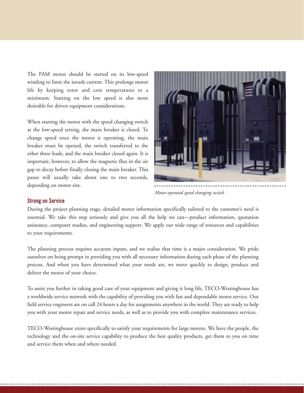The PAM motor should be started on its low-speed winding to limit the inrush current. This prolongs motor life by keeping rotor and core temperatures to a minimum. Starting on the low speed is also more desirable for driven equipment considerations.

When starting the motor with the speed changing switch at the low-speed setting, the main breaker is closed. To change speed once the motor is operating, the main breaker must be opened, the switch transferred to the other three leads, and the main breaker closed again. It is important, however, to allow the magnetic flux in the air gap to decay before finally closing the main breaker. This pause will usually take about one to two seconds, depending on motor size.



*Motor-operated speed changing switch*

# **Strong on Service**

During the project planning stage, detailed motor information specifically tailored to the customer's need is essential. We take this step seriously and give you all the help we can—product information, quotation assistance, computer studies, and engineering support. We apply our wide range of resources and capabilities to your requirements.

The planning process requires accurate inputs, and we realize that time is a major consideration. We pride ourselves on being prompt in providing you with all necessary information during each phase of the planning process. And when you have determined what your needs are, we move quickly to design, produce and deliver the motor of your choice.

To assist you further in taking good care of your equipment and giving it long life, TECO-Westinghouse has a worldwide service network with the capability of providing you with fast and dependable motor service. Our field service engineers are on call 24 hours a day for assignments anywhere in the world. They are ready to help you with your motor repair and service needs, as well as to provide you with complete maintenance services.

TECO-Westinghouse exists specifically to satisfy your requirements for large motors. We have the people, the technology and the on-site service capability to produce the best quality products, get them to you on time and service them when and where needed.